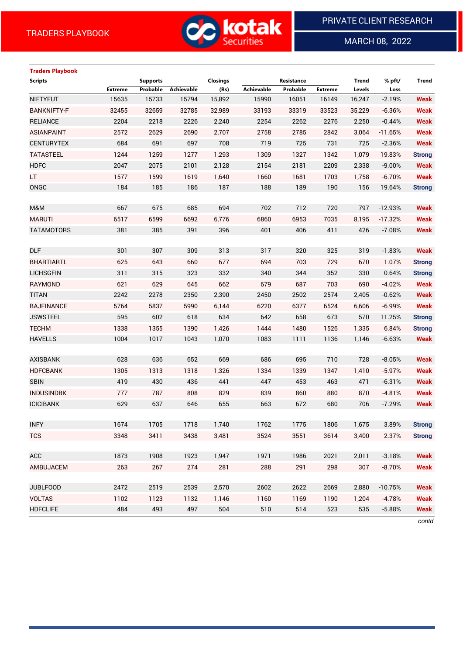**Traders Playbook**



MARCH 08, 2022

 $\overline{a}$ 

# **Scripts Supports Closings Resistance Trend % pft/ Trend Extreme Probable Achievable (Rs) Achievable Probable Extreme Levels Loss** NIFTYFUT 15635 15733 15794 15,892 15990 16051 16149 16,247 -2.19% **Weak** BANKNIFTY-F 32455 32659 32785 32,989 33193 33319 33523 35,229 -6.36% **Weak** RELIANCE 2204 2218 2226 2,240 2254 2262 2276 2,250 -0.44% **Weak** ASIANPAINT 2572 2629 2690 2,707 2758 2785 2842 3,064 -11.65% **Weak** CENTURYTEX 684 691 697 708 719 725 731 725 -2.36% **Weak** TATASTEEL 1244 1259 1277 1,293 1309 1327 1342 1,079 19.83% **Strong** HDFC 2047 2075 2101 2,128 2154 2181 2209 2,338 -9.00% **Weak** LT 1577 1599 1619 1,640 1660 1681 1703 1,758 -6.70% **Weak** ONGC 184 185 186 187 188 189 190 156 19.64% **Strong** M&M 667 675 685 694 702 712 720 797 -12.93% **Weak** MARUTI 6517 6599 6692 6,776 6860 6953 7035 8,195 -17.32% **Weak** TATAMOTORS 381 385 391 396 401 406 411 426 -7.08% **Weak** DLF 301 307 309 313 317 320 325 319 -1.83% **Weak** BHARTIARTL 625 643 660 677 694 703 729 670 1.07% **Strong** LICHSGFIN 311 315 323 332 340 344 352 330 0.64% **Strong** RAYMOND 621 629 645 662 679 687 703 690 -4.02% **Weak** TITAN 2242 2278 2350 2,390 2450 2502 2574 2,405 -0.62% **Weak** BAJFINANCE 5764 5837 5990 6,144 6220 6377 6524 6,606 -6.99% **Weak** JSWSTEEL 595 602 618 634 642 658 673 570 11.25% **Strong** TECHM 1338 1355 1390 1,426 1444 1480 1526 1,335 6.84% **Strong** HAVELLS 1004 1017 1043 1,070 1083 1111 1136 1,146 -6.63% **Weak** AXISBANK 628 636 652 669 686 695 710 728 -8.05% **Weak** HDFCBANK 1305 1313 1318 1,326 1334 1339 1347 1,410 -5.97% **Weak** SBIN 419 430 436 441 447 453 463 471 -6.31% **Weak** INDUSINDBK 777 787 808 829 839 860 880 870 -4.81% **Weak** ICICIBANK 629 637 646 655 663 672 680 706 -7.29% **Weak** INFY 1674 1705 1718 1,740 1762 1775 1806 1,675 3.89% **Strong** TCS 3348 3411 3438 3,481 3524 3551 3614 3,400 2.37% **Strong** ACC 1873 1908 1923 1,947 1971 1986 2021 2,011 -3.18% **Weak** AMBUJACEM 263 267 274 281 288 291 298 307 -8.70% **Weak** JUBLFOOD 2472 2519 2539 2,570 2602 2622 2669 2,880 -10.75% **Weak** VOLTAS 1102 1123 1132 1,146 1160 1169 1190 1,204 -4.78% **Weak** HDFCLIFE 484 493 497 504 510 514 523 535 -5.88% **Weak**

*contd*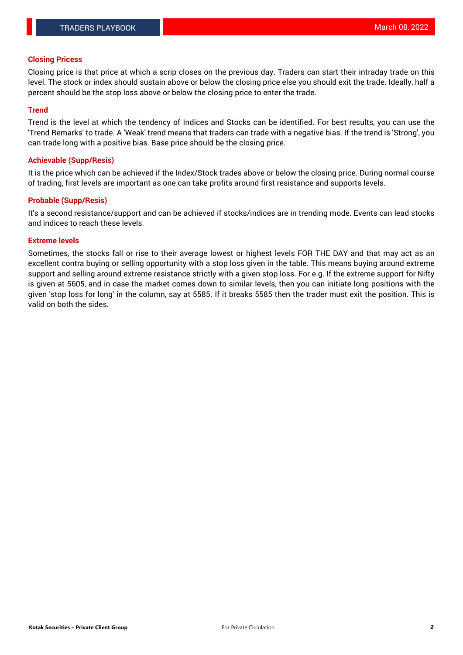#### **Closing Pricess**

Closing price is that price at which a scrip closes on the previous day. Traders can start their intraday trade on this level. The stock or index should sustain above or below the closing price else you should exit the trade. Ideally, half a percent should be the stop loss above or below the closing price to enter the trade.

## **Trend**

Trend is the level at which the tendency of Indices and Stocks can be identified. For best results, you can use the 'Trend Remarks' to trade. A 'Weak' trend means that traders can trade with a negative bias. If the trend is 'Strong', you can trade long with a positive bias. Base price should be the closing price.

#### **Achievable (Supp/Resis)**

It is the price which can be achieved if the Index/Stock trades above or below the closing price. During normal course of trading, first levels are important as one can take profits around first resistance and supports levels.

## **Probable (Supp/Resis)**

It's a second resistance/support and can be achieved if stocks/indices are in trending mode. Events can lead stocks and indices to reach these levels.

#### **Extreme levels**

Sometimes, the stocks fall or rise to their average lowest or highest levels FOR THE DAY and that may act as an excellent contra buying or selling opportunity with a stop loss given in the table. This means buying around extreme support and selling around extreme resistance strictly with a given stop loss. For e.g. If the extreme support for Nifty is given at 5605, and in case the market comes down to similar levels, then you can initiate long positions with the given 'stop loss for long' in the column, say at 5585. If it breaks 5585 then the trader must exit the position. This is valid on both the sides.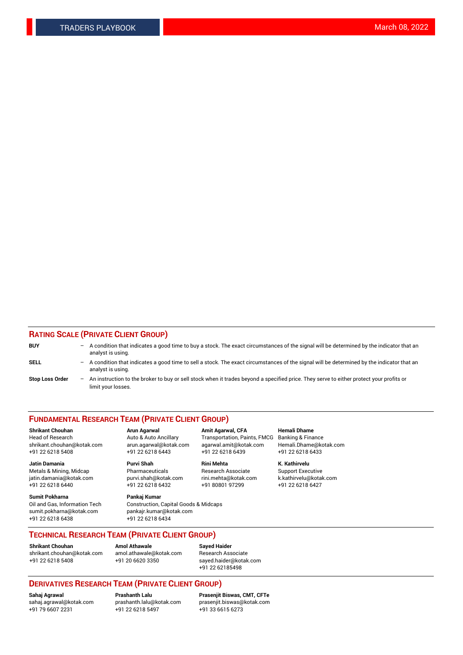## **RATING SCALE (PRIVATE CLIENT GROUP)**

| <b>BUY</b>             | $-$ A condition that indicates a good time to buy a stock. The exact circumstances of the signal will be determined by the indicator that an<br>analyst is using. |
|------------------------|-------------------------------------------------------------------------------------------------------------------------------------------------------------------|
| <b>SELL</b>            | - A condition that indicates a good time to sell a stock. The exact circumstances of the signal will be determined by the indicator that an<br>analyst is using.  |
| <b>Stop Loss Order</b> | - An instruction to the broker to buy or sell stock when it trades beyond a specified price. They serve to either protect your profits or<br>limit your losses.   |

#### **FUNDAMENTAL RESEARCH TEAM (PRIVATE CLIENT GROUP)**

Head of Research Auto & Auto Ancillary Transportation, Paints, FMCG Banking & Finance shrikant.chouhan@kotak.com arun.agarwal@kotak.com agarwal.amit@kotak.com Hemali.Dhame@kotak.com

**Jatin Damania Purvi Shah Rini Mehta K. Kathirvelu** Metals & Mining, Midcap **Pharmaceuticals** Research Associate Support Executive jatin.damania@kotak.com [purvi.shah@kotak.com](mailto:purvi.shah@kotak.com) rini.mehta@kotak.com [k.kathirvelu@kotak.com](mailto:k.kathirvelu@kotak.com)  $+91$  22 6218 6440  $+91$  22 6218 6432

**Sumit Pokharna Pankaj Kumar** sumit.pokharna@kotak.com pankajr.kumar@kotak.com +91 22 6218 6438 +91 22 6218 6434

**Shrikant Chouhan Arun Agarwal Amit Agarwal, CFA Hemali Dhame**

Oil and Gas, Information Tech Construction, Capital Goods & Midcaps

+91 22 6218 5408 +91 22 6218 6443 +91 22 6218 6439 +91 22 6218 6433

**TECHNICAL RESEARCH TEAM (PRIVATE CLIENT GROUP)**

[shrikant.chouhan@kotak.com](mailto:shrikant.chouhan@kotak.com) [amol.athawale@kotak.com](mailto:amol.athawale@kotak.com) Research Associate +91 22 6218 5408 +91 20 6620 3350 [sayed.haider@kotak.com](mailto:sayed.haider@kotak.com)

**Shrikant Chouhan Amol Athawale Sayed Haider**

+91 22 62185498

# **DERIVATIVES RESEARCH TEAM (PRIVATE CLIENT GROUP)**

 $+91$  22 6218 5497

**Sahaj Agrawal Prashanth Lalu Prasenjit Biswas, CMT, CFTe** [sahaj.agrawal@kotak.com](mailto:sahaj.agrawal@kotak.com) [prashanth.lalu@kotak.com](mailto:prashanth.lalu@kotak.com) [prasenjit.biswas@kotak.com](mailto:prasenjit.biswas@kotak.com)